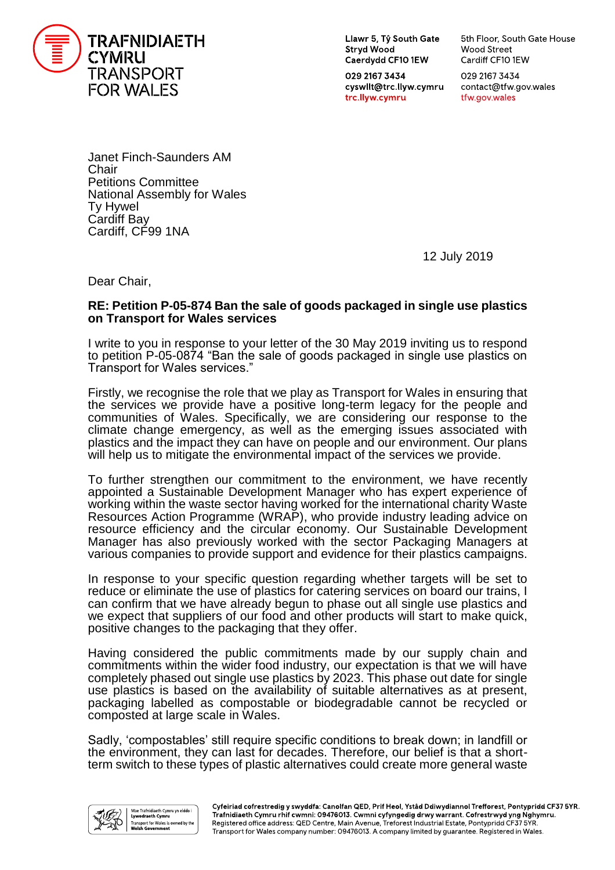

Llawr 5, Tŷ South Gate **Stryd Wood** Caerdydd CF10 1EW

029 2167 3434 cyswllt@trc.llyw.cymru trc.llyw.cymru

5th Floor, South Gate House Wood Street Cardiff CF10 1EW

029 2167 3434 contact@tfw.gov.wales tfw.gov.wales

Janet Finch-Saunders AM **Chair** Petitions Committee National Assembly for Wales Ty Hywel Cardiff Bay Cardiff, CF99 1NA

12 July 2019

Dear Chair,

## **RE: Petition P-05-874 Ban the sale of goods packaged in single use plastics on Transport for Wales services**

I write to you in response to your letter of the 30 May 2019 inviting us to respond to petition P-05-0874 "Ban the sale of goods packaged in single use plastics on Transport for Wales services."

Firstly, we recognise the role that we play as Transport for Wales in ensuring that the services we provide have a positive long-term legacy for the people and communities of Wales. Specifically, we are considering our response to the climate change emergency, as well as the emerging issues associated with plastics and the impact they can have on people and our environment. Our plans will help us to mitigate the environmental impact of the services we provide.

To further strengthen our commitment to the environment, we have recently appointed a Sustainable Development Manager who has expert experience of working within the waste sector having worked for the international charity Waste Resources Action Programme (WRAP), who provide industry leading advice on resource efficiency and the circular economy. Our Sustainable Development Manager has also previously worked with the sector Packaging Managers at various companies to provide support and evidence for their plastics campaigns.

In response to your specific question regarding whether targets will be set to reduce or eliminate the use of plastics for catering services on board our trains, I can confirm that we have already begun to phase out all single use plastics and we expect that suppliers of our food and other products will start to make quick, positive changes to the packaging that they offer.

Having considered the public commitments made by our supply chain and commitments within the wider food industry, our expectation is that we will have completely phased out single use plastics by 2023. This phase out date for single use plastics is based on the availability of suitable alternatives as at present, packaging labelled as compostable or biodegradable cannot be recycled or composted at large scale in Wales.

Sadly, 'compostables' still require specific conditions to break down; in landfill or the environment, they can last for decades. Therefore, our belief is that a shortterm switch to these types of plastic alternatives could create more general waste

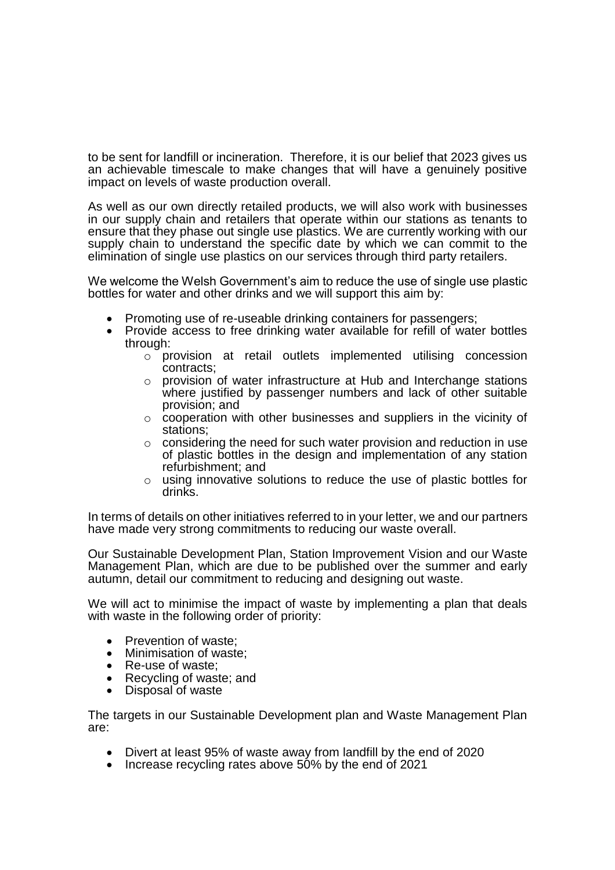to be sent for landfill or incineration. Therefore, it is our belief that 2023 gives us an achievable timescale to make changes that will have a genuinely positive impact on levels of waste production overall.

As well as our own directly retailed products, we will also work with businesses in our supply chain and retailers that operate within our stations as tenants to ensure that they phase out single use plastics. We are currently working with our supply chain to understand the specific date by which we can commit to the elimination of single use plastics on our services through third party retailers.

We welcome the Welsh Government's aim to reduce the use of single use plastic bottles for water and other drinks and we will support this aim by:

- Promoting use of re-useable drinking containers for passengers;
- Provide access to free drinking water available for refill of water bottles through:
	- o provision at retail outlets implemented utilising concession contracts;
	- o provision of water infrastructure at Hub and Interchange stations where justified by passenger numbers and lack of other suitable provision; and
	- o cooperation with other businesses and suppliers in the vicinity of stations;
	- $\circ$  considering the need for such water provision and reduction in use of plastic bottles in the design and implementation of any station refurbishment; and
	- o using innovative solutions to reduce the use of plastic bottles for drinks.

In terms of details on other initiatives referred to in your letter, we and our partners have made very strong commitments to reducing our waste overall.

Our Sustainable Development Plan, Station Improvement Vision and our Waste Management Plan, which are due to be published over the summer and early autumn, detail our commitment to reducing and designing out waste.

We will act to minimise the impact of waste by implementing a plan that deals with waste in the following order of priority:

- Prevention of waste:
- Minimisation of waste:
- Re-use of waste;
- Recycling of waste; and
- Disposal of waste

The targets in our Sustainable Development plan and Waste Management Plan are:

- Divert at least 95% of waste away from landfill by the end of 2020
- Increase recycling rates above 50% by the end of 2021